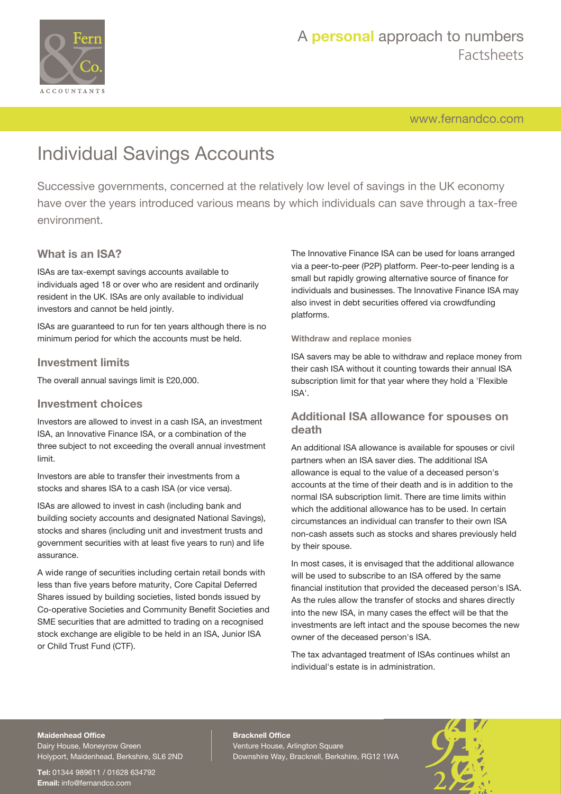

[www.fernandco.com](http://www.fernandco.com)

# Individual Savings Accounts

Successive governments, concerned at the relatively low level of savings in the UK economy have over the years introduced various means by which individuals can save through a tax-free environment.

#### **What is an ISA?**

ISAs are tax-exempt savings accounts available to individuals aged 18 or over who are resident and ordinarily resident in the UK. ISAs are only available to individual investors and cannot be held jointly.

ISAs are guaranteed to run for ten years although there is no minimum period for which the accounts must be held.

#### **Investment limits**

The overall annual savings limit is £20,000.

#### **Investment choices**

Investors are allowed to invest in a cash ISA, an investment ISA, an Innovative Finance ISA, or a combination of the three subject to not exceeding the overall annual investment limit.

Investors are able to transfer their investments from a stocks and shares ISA to a cash ISA (or vice versa).

ISAs are allowed to invest in cash (including bank and building society accounts and designated National Savings), stocks and shares (including unit and investment trusts and government securities with at least five years to run) and life assurance.

A wide range of securities including certain retail bonds with less than five years before maturity, Core Capital Deferred Shares issued by building societies, listed bonds issued by Co-operative Societies and Community Benefit Societies and SME securities that are admitted to trading on a recognised stock exchange are eligible to be held in an ISA, Junior ISA or Child Trust Fund (CTF).

The Innovative Finance ISA can be used for loans arranged via a peer-to-peer (P2P) platform. Peer-to-peer lending is a small but rapidly growing alternative source of finance for individuals and businesses. The Innovative Finance ISA may also invest in debt securities offered via crowdfunding platforms.

#### **Withdraw and replace monies**

ISA savers may be able to withdraw and replace money from their cash ISA without it counting towards their annual ISA subscription limit for that year where they hold a 'Flexible ISA'.

#### **Additional ISA allowance for spouses on death**

An additional ISA allowance is available for spouses or civil partners when an ISA saver dies. The additional ISA allowance is equal to the value of a deceased person's accounts at the time of their death and is in addition to the normal ISA subscription limit. There are time limits within which the additional allowance has to be used. In certain circumstances an individual can transfer to their own ISA non-cash assets such as stocks and shares previously held by their spouse.

In most cases, it is envisaged that the additional allowance will be used to subscribe to an ISA offered by the same financial institution that provided the deceased person's ISA. As the rules allow the transfer of stocks and shares directly into the new ISA, in many cases the effect will be that the investments are left intact and the spouse becomes the new owner of the deceased person's ISA.

The tax advantaged treatment of ISAs continues whilst an individual's estate is in administration.

#### **Maidenhead Office**

Dairy House, Moneyrow Green Holyport, Maidenhead, Berkshire, SL6 2ND

**Tel:** 01344 989611 / 01628 634792 **Email:** [info@fernandco.com](mailto:info@fernandco.com)

**Bracknell Office** Venture House, Arlington Square Downshire Way, Bracknell, Berkshire, RG12 1WA

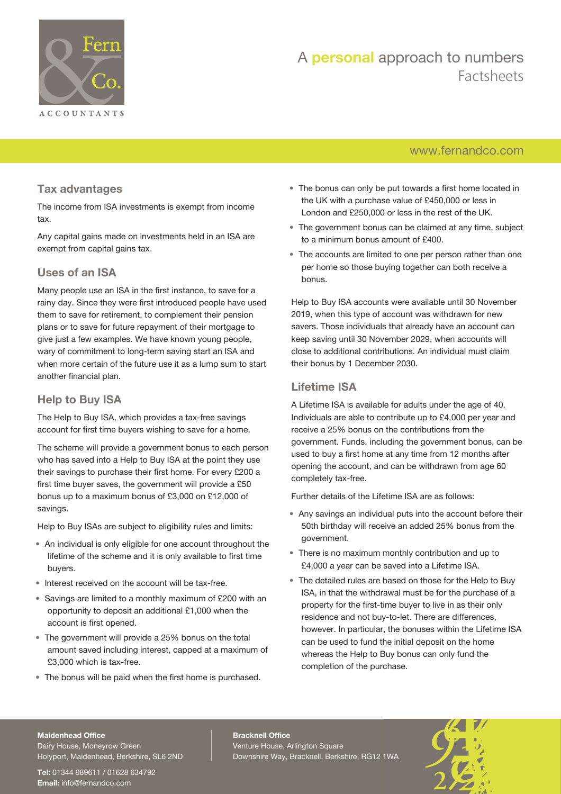

# A **personal** approach to numbers Factsheets

### [www.fernandco.com](http://www.fernandco.com)

#### **Tax advantages**

The income from ISA investments is exempt from income tax.

Any capital gains made on investments held in an ISA are exempt from capital gains tax.

#### **Uses of an ISA**

Many people use an ISA in the first instance, to save for a rainy day. Since they were first introduced people have used them to save for retirement, to complement their pension plans or to save for future repayment of their mortgage to give just a few examples. We have known young people, wary of commitment to long-term saving start an ISA and when more certain of the future use it as a lump sum to start another financial plan.

### **Help to Buy ISA**

The Help to Buy ISA, which provides a tax-free savings account for first time buyers wishing to save for a home.

The scheme will provide a government bonus to each person who has saved into a Help to Buy ISA at the point they use their savings to purchase their first home. For every £200 a first time buyer saves, the government will provide a £50 bonus up to a maximum bonus of £3,000 on £12,000 of savings.

Help to Buy ISAs are subject to eligibility rules and limits:

- An individual is only eligible for one account throughout the lifetime of the scheme and it is only available to first time buyers.
- Interest received on the account will be tax-free.
- Savings are limited to a monthly maximum of £200 with an opportunity to deposit an additional £1,000 when the account is first opened.
- The government will provide a 25% bonus on the total amount saved including interest, capped at a maximum of £3,000 which is tax-free.
- The bonus will be paid when the first home is purchased.
- The bonus can only be put towards a first home located in the UK with a purchase value of £450,000 or less in London and £250,000 or less in the rest of the UK.
- The government bonus can be claimed at any time, subject to a minimum bonus amount of £400.
- The accounts are limited to one per person rather than one per home so those buying together can both receive a bonus.

Help to Buy ISA accounts were available until 30 November 2019, when this type of account was withdrawn for new savers. Those individuals that already have an account can keep saving until 30 November 2029, when accounts will close to additional contributions. An individual must claim their bonus by 1 December 2030.

#### **Lifetime ISA**

A Lifetime ISA is available for adults under the age of 40. Individuals are able to contribute up to £4,000 per year and receive a 25% bonus on the contributions from the government. Funds, including the government bonus, can be used to buy a first home at any time from 12 months after opening the account, and can be withdrawn from age 60 completely tax-free.

Further details of the Lifetime ISA are as follows:

- Any savings an individual puts into the account before their 50th birthday will receive an added 25% bonus from the government.
- There is no maximum monthly contribution and up to £4,000 a year can be saved into a Lifetime ISA.
- The detailed rules are based on those for the Help to Buy ISA, in that the withdrawal must be for the purchase of a property for the first-time buyer to live in as their only residence and not buy-to-let. There are differences, however. In particular, the bonuses within the Lifetime ISA can be used to fund the initial deposit on the home whereas the Help to Buy bonus can only fund the completion of the purchase.

#### **Maidenhead Office**

Dairy House, Moneyrow Green Holyport, Maidenhead, Berkshire, SL6 2ND

**Tel:** 01344 989611 / 01628 634792 **Email:** [info@fernandco.com](mailto:info@fernandco.com)

**Bracknell Office** Venture House, Arlington Square Downshire Way, Bracknell, Berkshire, RG12 1WA